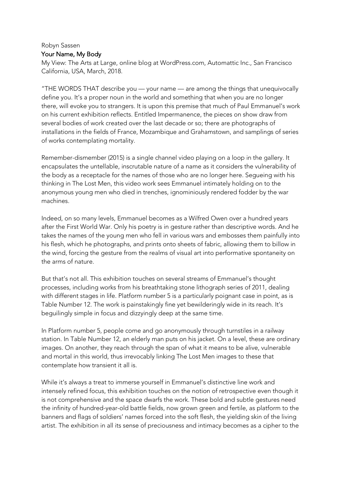## Robyn Sassen Your Name, My Body

My View: The Arts at Large, online blog at WordPress.com, Automattic Inc., San Francisco California, USA, March, 2018.

"THE WORDS THAT describe you — your name — are among the things that unequivocally define you. It's a proper noun in the world and something that when you are no longer there, will evoke you to strangers. It is upon this premise that much of Paul Emmanuel's work on his current exhibition reflects. Entitled Impermanence, the pieces on show draw from several bodies of work created over the last decade or so; there are photographs of installations in the fields of France, Mozambique and Grahamstown, and samplings of series of works contemplating mortality.

Remember-dismember (2015) is a single channel video playing on a loop in the gallery. It encapsulates the untellable, inscrutable nature of a name as it considers the vulnerability of the body as a receptacle for the names of those who are no longer here. Segueing with his thinking in The Lost Men, this video work sees Emmanuel intimately holding on to the anonymous young men who died in trenches, ignominiously rendered fodder by the war machines.

Indeed, on so many levels, Emmanuel becomes as a Wilfred Owen over a hundred years after the First World War. Only his poetry is in gesture rather than descriptive words. And he takes the names of the young men who fell in various wars and embosses them painfully into his flesh, which he photographs, and prints onto sheets of fabric, allowing them to billow in the wind, forcing the gesture from the realms of visual art into performative spontaneity on the arms of nature.

But that's not all. This exhibition touches on several streams of Emmanuel's thought processes, including works from his breathtaking stone lithograph series of 2011, dealing with different stages in life. Platform number 5 is a particularly poignant case in point, as is Table Number 12. The work is painstakingly fine yet bewilderingly wide in its reach. It's beguilingly simple in focus and dizzyingly deep at the same time.

In Platform number 5, people come and go anonymously through turnstiles in a railway station. In Table Number 12, an elderly man puts on his jacket. On a level, these are ordinary images. On another, they reach through the span of what it means to be alive, vulnerable and mortal in this world, thus irrevocably linking The Lost Men images to these that contemplate how transient it all is.

While it's always a treat to immerse yourself in Emmanuel's distinctive line work and intensely refined focus, this exhibition touches on the notion of retrospective even though it is not comprehensive and the space dwarfs the work. These bold and subtle gestures need the infinity of hundred-year-old battle fields, now grown green and fertile, as platform to the banners and flags of soldiers' names forced into the soft flesh, the yielding skin of the living artist. The exhibition in all its sense of preciousness and intimacy becomes as a cipher to the